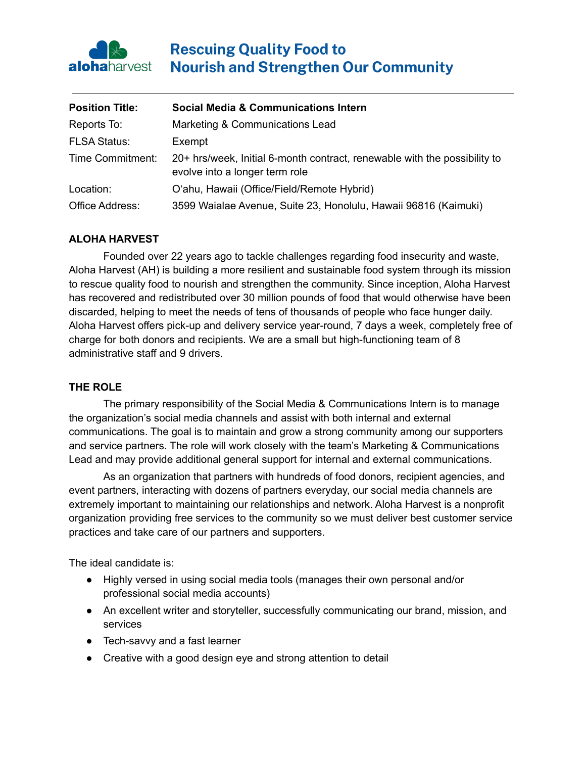

# **Rescuing Quality Food to Nourish and Strengthen Our Community**

| <b>Position Title:</b> | <b>Social Media &amp; Communications Intern</b>                                                             |
|------------------------|-------------------------------------------------------------------------------------------------------------|
| Reports To:            | Marketing & Communications Lead                                                                             |
| <b>FLSA Status:</b>    | Exempt                                                                                                      |
| Time Commitment:       | 20+ hrs/week, Initial 6-month contract, renewable with the possibility to<br>evolve into a longer term role |
| Location:              | O'ahu, Hawaii (Office/Field/Remote Hybrid)                                                                  |
| Office Address:        | 3599 Waialae Avenue, Suite 23, Honolulu, Hawaii 96816 (Kaimuki)                                             |

### **ALOHA HARVEST**

Founded over 22 years ago to tackle challenges regarding food insecurity and waste, Aloha Harvest (AH) is building a more resilient and sustainable food system through its mission to rescue quality food to nourish and strengthen the community. Since inception, Aloha Harvest has recovered and redistributed over 30 million pounds of food that would otherwise have been discarded, helping to meet the needs of tens of thousands of people who face hunger daily. Aloha Harvest offers pick-up and delivery service year-round, 7 days a week, completely free of charge for both donors and recipients. We are a small but high-functioning team of 8 administrative staff and 9 drivers.

#### **THE ROLE**

The primary responsibility of the Social Media & Communications Intern is to manage the organization's social media channels and assist with both internal and external communications. The goal is to maintain and grow a strong community among our supporters and service partners. The role will work closely with the team's Marketing & Communications Lead and may provide additional general support for internal and external communications.

As an organization that partners with hundreds of food donors, recipient agencies, and event partners, interacting with dozens of partners everyday, our social media channels are extremely important to maintaining our relationships and network. Aloha Harvest is a nonprofit organization providing free services to the community so we must deliver best customer service practices and take care of our partners and supporters.

The ideal candidate is:

- Highly versed in using social media tools (manages their own personal and/or professional social media accounts)
- An excellent writer and storyteller, successfully communicating our brand, mission, and services
- Tech-savvy and a fast learner
- Creative with a good design eye and strong attention to detail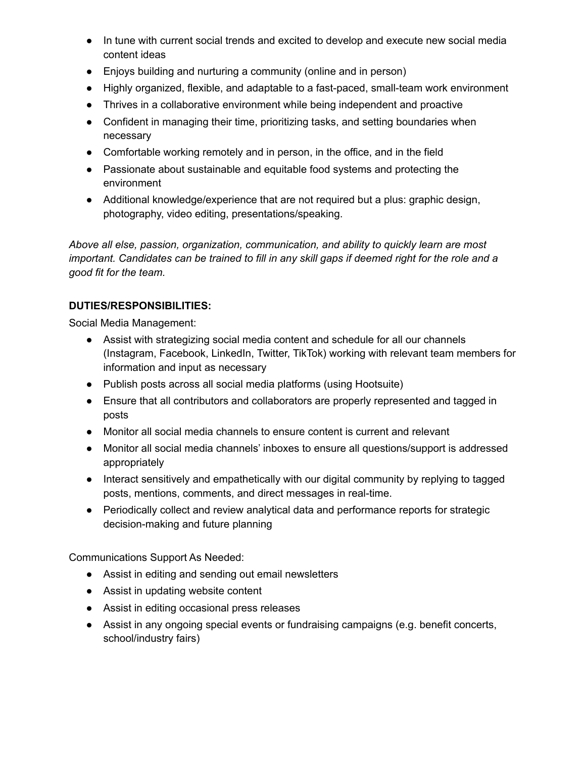- In tune with current social trends and excited to develop and execute new social media content ideas
- Enjoys building and nurturing a community (online and in person)
- Highly organized, flexible, and adaptable to a fast-paced, small-team work environment
- Thrives in a collaborative environment while being independent and proactive
- Confident in managing their time, prioritizing tasks, and setting boundaries when necessary
- Comfortable working remotely and in person, in the office, and in the field
- Passionate about sustainable and equitable food systems and protecting the environment
- Additional knowledge/experience that are not required but a plus: graphic design, photography, video editing, presentations/speaking.

*Above all else, passion, organization, communication, and ability to quickly learn are most* important. Candidates can be trained to fill in any skill gaps if deemed right for the role and a *good fit for the team.*

# **DUTIES/RESPONSIBILITIES:**

Social Media Management:

- Assist with strategizing social media content and schedule for all our channels (Instagram, Facebook, LinkedIn, Twitter, TikTok) working with relevant team members for information and input as necessary
- Publish posts across all social media platforms (using Hootsuite)
- Ensure that all contributors and collaborators are properly represented and tagged in posts
- Monitor all social media channels to ensure content is current and relevant
- Monitor all social media channels' inboxes to ensure all questions/support is addressed appropriately
- Interact sensitively and empathetically with our digital community by replying to tagged posts, mentions, comments, and direct messages in real-time.
- Periodically collect and review analytical data and performance reports for strategic decision-making and future planning

Communications Support As Needed:

- Assist in editing and sending out email newsletters
- Assist in updating website content
- Assist in editing occasional press releases
- Assist in any ongoing special events or fundraising campaigns (e.g. benefit concerts, school/industry fairs)